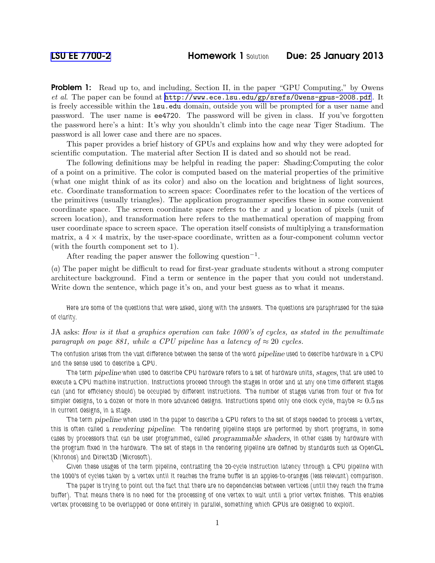**Problem 1:** Read up to, and including, Section II, in the paper "GPU Computing," by Owens *et al*. The paper can be found at <http://www.ece.lsu.edu/gp/srefs/Owens-gpus-2008.pdf>. It is freely accessible within the lsu.edu domain, outside you will be prompted for a user name and password. The user name is ee4720. The password will be given in class. If you've forgotten the password here's a hint: It's why you shouldn't climb into the cage near Tiger Stadium. The password is all lower case and there are no spaces.

This paper provides a brief history of GPUs and explains how and why they were adopted for scientific computation. The material after Section II is dated and so should not be read.

The following definitions may be helpful in reading the paper: Shading:Computing the color of a point on a primitive. The color is computed based on the material properties of the primitive (what one might think of as its color) and also on the location and brightness of light sources, etc. Coordinate transformation to screen space: Coordinates refer to the location of the vertices of the primitives (usually triangles). The application programmer specifies these in some convenient coordinate space. The screen coordinate space refers to the x and y location of pixels (unit of screen location), and transformation here refers to the mathematical operation of mapping from user coordinate space to screen space. The operation itself consists of multiplying a transformation matrix, a  $4 \times 4$  matrix, by the user-space coordinate, written as a four-component column vector (with the fourth component set to 1).

After reading the paper answer the following question−<sup>1</sup> .

(*a*) The paper might be difficult to read for first-year graduate students without a strong computer architecture background. Find a term or sentence in the paper that you could not understand. Write down the sentence, which page it's on, and your best guess as to what it means.

*Here are some of the questions that were asked, along with the answers. The questions are paraphrased for the sake of clarity.*

JA asks: *How is it that a graphics operation can take 1000's of cycles, as stated in the penultimate paragraph on page 881, while a CPU pipeline has a latency of*  $\approx$  20 *cycles.* 

*The confusion arises from the vast difference between the sense of the word* pipeline *used to describe hardware in a CPU and the sense used to describe a GPU.*

*The term* pipeline *when used to describe CPU hardware refers to a set of hardware units,* stages*, that are used to execute a CPU machine instruction. Instructions proceed through the stages in order and at any one time different stages can (and for efficiency should) be occupied by different instructions. The number of stages varies from four or five for*  $s$ impler designs, to a dozen or more in more advanced designs. Instructions spend only one clock cycle, maybe  $\approx 0.5\,\mathrm{ns}$ *in current designs, in a stage.*

*The term* pipeline *when used in the paper to describe a GPU refers to the set of steps needed to process a vertex, this is often called a* rendering pipeline*. The rendering pipeline steps are performed by short programs, in some cases by processors that can be user programmed, called* programmable shaders*, in other cases by hardware with the program fixed in the hardware. The set of steps in the rendering pipeline are defined by standards such as OpenGL (Khronos) and Direct3D (Microsoft).*

*Given these usages of the term pipeline, contrasting the 20-cycle instruction latency through a CPU pipeline with the 1000's of cycles taken by a vertex until it reaches the frame buffer is an apples-to-oranges (less relevant) comparison.*

*The paper is trying to point out the fact that there are no dependencies between vertices (until they reach the frame buffer). That means there is no need for the processing of one vertex to wait until a prior vertex finishes. This enables vertex processing to be overlapped or done entirely in parallel, something which GPUs are designed to exploit.*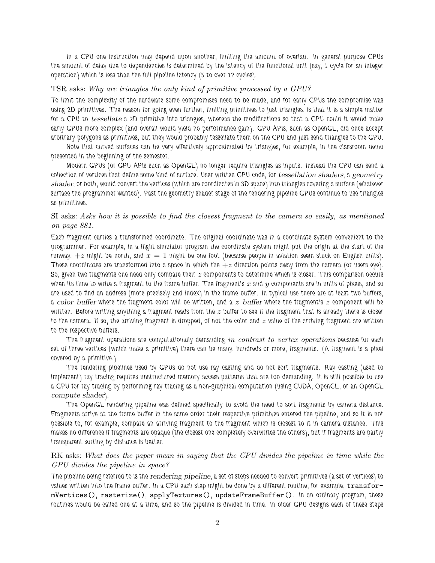*In a CPU one instruction may depend upon another, limiting the amount of overlap. In general purpose CPUs the amount of delay due to dependencies is determined by the latency of the functional unit (say, 1 cycle for an integer operation) which is less than the full pipeline latency (5 to over 12 cycles).*

## TSR asks: *Why are triangles the only kind of primitive processed by a GPU?*

*To limit the complexity of the hardware some compromises need to be made, and for early GPUs the compromise was using 2D primitives. The reason for going even further, limiting primitives to just triangles, is that it is a simple matter for a CPU to* tessellate *a 2D primitive into triangles, whereas the modifications so that a GPU could it would make early GPUs more complex (and overall would yield no performance gain). GPU APIs, such as OpenGL, did once accept arbitrary polygons as primitives, but they would probably tessellate them on the CPU and just send triangles to the GPU.*

*Note that curved surfaces can be very effectively approximated by triangles, for example, in the classroom demo presented in the beginning of the semester.*

*Modern GPUs (or GPU APIs such as OpenGL) no longer require triangles as inputs. Instead the CPU can send a collection of vertices that define some kind of surface. User-written GPU code, for* tessellation shaders*, a* geometry shader*, or both, would convert the vertices (which are coordinates in 3D space) into triangles covering a surface (whatever surface the programmer wanted). Past the geometry shader stage of the rendering pipeline GPUs continue to use triangles as primitives.*

## SI asks: *Asks how it is possible to find the closest fragment to the camera so easily, as mentioned on page 881.*

*Each fragment carries a transformed coordinate. The original coordinate was in a coordinate system convenient to the programmer. For example, in a flight simulator program the coordinate system might put the origin at the start of the runway,*  $+z$  *might be north, and*  $x = 1$  *might be one foot (because people in aviation seem stuck on English units).* These coordinates are transformed into a space in which the  $+z$  direction points away from the camera (or users eye). *So, given two fragments one need only compare their* z *components to determine which is closer. This comparison occurs when its time to write a fragment to the frame buffer. The fragment's* x *and* y *components are in units of pixels, and so are used to find an address (more precisely and index) in the frame buffer. In typical use there are at least two buffers, a* color buffer *where the fragment color will be written, and a* z buffer *where the fragment's* z *component will be written. Before writing anything a fragment reads from the* z *buffer to see if the fragment that is already there is closer to the camera. If so, the arriving fragment is dropped, of not the color and* z *value of the arriving fragment are written to the respective buffers.*

*The fragment operations are computationally demanding in contrast to vertex operations because for each set of three vertices (which make a primitive) there can be many, hundreds or more, fragments. (A fragment is a pixel covered by a primitive.)*

*The rendering pipelines used by GPUs do not use ray casting and do not sort fragments. Ray casting (used to implement) ray tracing requires unstructured memory access patterns that are too demanding. It is still possible to use a GPU for ray tracing by performing ray tracing as a non-graphical computation (using CUDA, OpenCL, or an OpenGL* compute shader*).*

*The OpenGL rendering pipeline was defined specifically to avoid the need to sort fragments by camera distance. Fragments arrive at the frame buffer in the same order their respective primitives entered the pipeline, and so it is not possible to, for example, compare an arriving fragment to the fragment which is closest to it in camera distance. This makes no difference if fragments are opaque (the closest one completely overwrites the others), but if fragments are partly transparent sorting by distance is better.*

## RK asks: *What does the paper mean in saying that the CPU divides the pipeline in time while the GPU divides the pipeline in space?*

*The pipeline being referred to is the* rendering pipeline*, a set of steps needed to convert primitives (a set of vertices) to values written into the frame buffer. In a CPU each step might be done by a different routine, for example,* transformVertices()*,* rasterize()*,* applyTextures()*,* updateFrameBuffer()*. In an ordinary program, these routines would be called one at a time, and so the pipeline is divided in time. In older GPU designs each of these steps*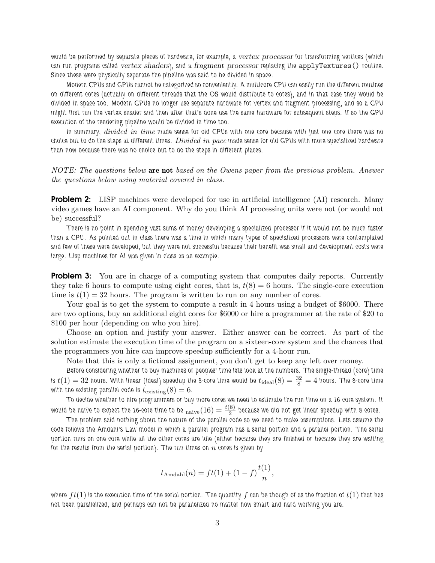*would be performed by separate pieces of hardware, for example, a* vertex processor *for transforming vertices (which can run programs called* vertex shaders*), and a* fragment processor *replacing the* applyTextures() *routine. Since these were physically separate the pipeline was said to be divided in space.*

*Modern CPUs and GPUs cannot be categorized so conveniently. A multicore CPU can easily run the different routines on different cores (actually on different threads that the OS would distribute to cores), and in that case they would be divided in space too. Modern GPUs no longer use separate hardware for vertex and fragment processing, and so a GPU might first run the vertex shader and then after that's done use the same hardware for subsequent steps. If so the GPU execution of the rendering pipeline would be divided in time too.*

*In summary, divided in time made sense for old CPUs with one core because with just one core there was no choice but to do the steps at different times. Divided in pace made sense for old GPUs with more specialized hardware than now because there was no choice but to do the steps in different places.*

*NOTE: The questions below* are not *based on the Owens paper from the previous problem. Answer the questions below using material covered in class.*

**Problem 2:** LISP machines were developed for use in artificial intelligence (AI) research. Many video games have an AI component. Why do you think AI processing units were not (or would not be) successful?

*There is no point in spending vast sums of money developing a specialized processor if it would not be much faster than a CPU. As pointed out in class there was a time in which many types of specialized processors were contemplated and few of these were developed, but they were not successful because their benefit was small and development costs were large. Lisp machines for AI was given in class as an example.*

**Problem 3:** You are in charge of a computing system that computes daily reports. Currently they take 6 hours to compute using eight cores, that is,  $t(8) = 6$  hours. The single-core execution time is  $t(1) = 32$  hours. The program is written to run on any number of cores.

Your goal is to get the system to compute a result in 4 hours using a budget of \$6000. There are two options, buy an additional eight cores for \$6000 or hire a programmer at the rate of \$20 to \$100 per hour (depending on who you hire).

Choose an option and justify your answer. Either answer can be correct. As part of the solution estimate the execution time of the program on a sixteen-core system and the chances that the programmers you hire can improve speedup sufficiently for a 4-hour run.

Note that this is only a fictional assignment, you don't get to keep any left over money.

*Before considering whether to buy machines or peoples' time lets look at the numbers. The single-thread (core) time* is  $t(1)=32$  hours. With linear (ideal) speedup the 8-core time would be  $t_{\rm ideal}(8)=\frac{32}{8}=4$  hours. The 8-core time with the existing parallel code is  $t_{\text{existing}}(8) = 6$ .

*To decide whether to hire programmers or buy more cores we need to estimate the run time on a 16-core system. It* would be naive to expect the 16-core time to be  $_{\rm naive}(16) = \frac{t(8)}{2}$  because we did not get linear speedup with 8 cores.

*The problem said nothing about the nature of the parallel code so we need to make assumptions. Lets assume the code follows the Amdahl's Law model in which a parallel program has a serial portion and a parallel portion. The serial portion runs on one core while all the other cores are idle (either because they are finished or because they are waiting* for the results from the serial portion). The run times on  $n$  cores is given by

$$
t_{\text{Amdahl}}(n) = ft(1) + (1 - f)\frac{t(1)}{n},
$$

*where* ft(1) *is the execution time of the serial portion. The quantity* f *can be though of as the fraction of* t(1) *that has not been parallelized, and perhaps can not be parallelized no matter how smart and hard working you are.*